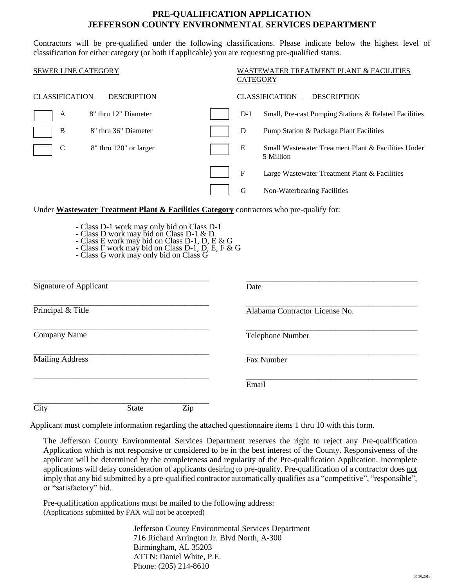### **PRE-QUALIFICATION APPLICATION JEFFERSON COUNTY ENVIRONMENTAL SERVICES DEPARTMENT**

Contractors will be pre-qualified under the following classifications. Please indicate below the highest level of classification for either category (or both if applicable) you are requesting pre-qualified status.

| <b>SEWER LINE CATEGORY</b>                                                              |  | <b>CATEGORY</b> | WASTEWATER TREATMENT PLANT & FACILITIES                          |  |  |  |  |
|-----------------------------------------------------------------------------------------|--|-----------------|------------------------------------------------------------------|--|--|--|--|
| <b>CLASSIFICATION</b><br><b>DESCRIPTION</b>                                             |  |                 | <b>CLASSIFICATION</b><br><b>DESCRIPTION</b>                      |  |  |  |  |
| 8" thru 12" Diameter<br>A                                                               |  | $D-1$           | Small, Pre-cast Pumping Stations & Related Facilities            |  |  |  |  |
| B<br>8" thru 36" Diameter                                                               |  | D               | Pump Station & Package Plant Facilities                          |  |  |  |  |
| 8" thru 120" or larger<br>C                                                             |  | E               | Small Wastewater Treatment Plant & Facilities Under<br>5 Million |  |  |  |  |
|                                                                                         |  | $\mathbf F$     | Large Wastewater Treatment Plant & Facilities                    |  |  |  |  |
|                                                                                         |  | G               | Non-Waterbearing Facilities                                      |  |  |  |  |
| Under Wastewater Treatment Plant & Facilities Category contractors who pre-qualify for: |  |                 |                                                                  |  |  |  |  |

- Class D-1 work may only bid on Class D-1

- Class D work may bid on Class D-1 & D
- Class E work may bid on Class D-1, D, E & G
- Class F work may bid on Class D-1, D, E, F & G

| - Class G work may only bid on Class G |  |
|----------------------------------------|--|
|----------------------------------------|--|

| Signature of Applicant |              |     | Date                           |  |  |
|------------------------|--------------|-----|--------------------------------|--|--|
| Principal & Title      |              |     | Alabama Contractor License No. |  |  |
| Company Name           |              |     | Telephone Number               |  |  |
| <b>Mailing Address</b> |              |     | Fax Number                     |  |  |
|                        |              |     | Email                          |  |  |
| City                   | <b>State</b> | Zip |                                |  |  |

Applicant must complete information regarding the attached questionnaire items 1 thru 10 with this form.

The Jefferson County Environmental Services Department reserves the right to reject any Pre-qualification Application which is not responsive or considered to be in the best interest of the County. Responsiveness of the applicant will be determined by the completeness and regularity of the Pre-qualification Application. Incomplete applications will delay consideration of applicants desiring to pre-qualify. Pre-qualification of a contractor does not imply that any bid submitted by a pre-qualified contractor automatically qualifies as a "competitive", "responsible", or "satisfactory" bid.

Pre-qualification applications must be mailed to the following address: (Applications submitted by FAX will not be accepted)

> Jefferson County Environmental Services Department 716 Richard Arrington Jr. Blvd North, A-300 Birmingham, AL 35203 ATTN: Daniel White, P.E. Phone: (205) 214-8610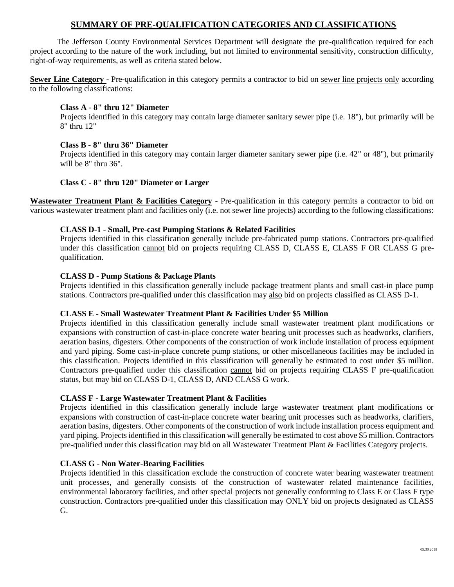## **SUMMARY OF PRE-QUALIFICATION CATEGORIES AND CLASSIFICATIONS**

The Jefferson County Environmental Services Department will designate the pre-qualification required for each project according to the nature of the work including, but not limited to environmental sensitivity, construction difficulty, right-of-way requirements, as well as criteria stated below.

**Sewer Line Category** - Pre-qualification in this category permits a contractor to bid on sewer line projects only according to the following classifications:

#### **Class A - 8" thru 12" Diameter**

Projects identified in this category may contain large diameter sanitary sewer pipe (i.e. 18"), but primarily will be 8" thru 12"

#### **Class B - 8" thru 36" Diameter**

Projects identified in this category may contain larger diameter sanitary sewer pipe (i.e. 42" or 48"), but primarily will be 8" thru 36".

#### **Class C - 8" thru 120" Diameter or Larger**

**Wastewater Treatment Plant & Facilities Category** - Pre-qualification in this category permits a contractor to bid on various wastewater treatment plant and facilities only (i.e. not sewer line projects) according to the following classifications:

#### **CLASS D-1 - Small, Pre-cast Pumping Stations & Related Facilities**

Projects identified in this classification generally include pre-fabricated pump stations. Contractors pre-qualified under this classification cannot bid on projects requiring CLASS D, CLASS E, CLASS F OR CLASS G prequalification.

#### **CLASS D - Pump Stations & Package Plants**

Projects identified in this classification generally include package treatment plants and small cast-in place pump stations. Contractors pre-qualified under this classification may also bid on projects classified as CLASS D-1.

#### **CLASS E - Small Wastewater Treatment Plant & Facilities Under \$5 Million**

Projects identified in this classification generally include small wastewater treatment plant modifications or expansions with construction of cast-in-place concrete water bearing unit processes such as headworks, clarifiers, aeration basins, digesters. Other components of the construction of work include installation of process equipment and yard piping. Some cast-in-place concrete pump stations, or other miscellaneous facilities may be included in this classification. Projects identified in this classification will generally be estimated to cost under \$5 million. Contractors pre-qualified under this classification cannot bid on projects requiring CLASS F pre-qualification status, but may bid on CLASS D-1, CLASS D, AND CLASS G work.

#### **CLASS F - Large Wastewater Treatment Plant & Facilities**

Projects identified in this classification generally include large wastewater treatment plant modifications or expansions with construction of cast-in-place concrete water bearing unit processes such as headworks, clarifiers, aeration basins, digesters. Other components of the construction of work include installation process equipment and yard piping. Projects identified in this classification will generally be estimated to cost above \$5 million. Contractors pre-qualified under this classification may bid on all Wastewater Treatment Plant & Facilities Category projects.

#### **CLASS G** - **Non Water-Bearing Facilities**

Projects identified in this classification exclude the construction of concrete water bearing wastewater treatment unit processes, and generally consists of the construction of wastewater related maintenance facilities, environmental laboratory facilities, and other special projects not generally conforming to Class E or Class F type construction. Contractors pre-qualified under this classification may ONLY bid on projects designated as CLASS G.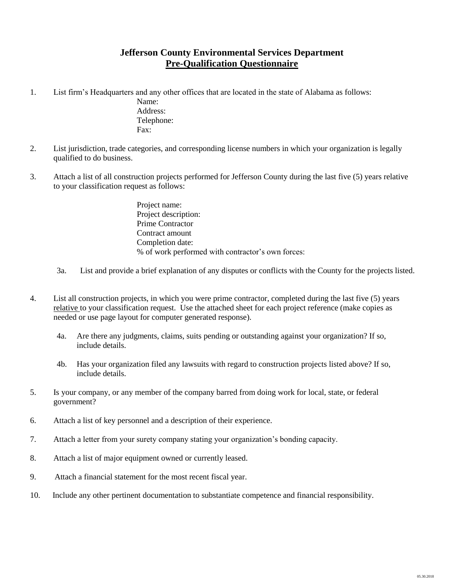# **Jefferson County Environmental Services Department Pre-Qualification Questionnaire**

1. List firm's Headquarters and any other offices that are located in the state of Alabama as follows:

Name: Address: Telephone: Fax:

- 2. List jurisdiction, trade categories, and corresponding license numbers in which your organization is legally qualified to do business.
- 3. Attach a list of all construction projects performed for Jefferson County during the last five (5) years relative to your classification request as follows:

Project name: Project description: Prime Contractor Contract amount Completion date: % of work performed with contractor's own forces:

- 3a. List and provide a brief explanation of any disputes or conflicts with the County for the projects listed.
- 4. List all construction projects, in which you were prime contractor, completed during the last five (5) years relative to your classification request. Use the attached sheet for each project reference (make copies as needed or use page layout for computer generated response).
	- 4a. Are there any judgments, claims, suits pending or outstanding against your organization? If so, include details.
	- 4b. Has your organization filed any lawsuits with regard to construction projects listed above? If so, include details.
- 5. Is your company, or any member of the company barred from doing work for local, state, or federal government?
- 6. Attach a list of key personnel and a description of their experience.
- 7. Attach a letter from your surety company stating your organization's bonding capacity.
- 8. Attach a list of major equipment owned or currently leased.
- 9. Attach a financial statement for the most recent fiscal year.
- 10. Include any other pertinent documentation to substantiate competence and financial responsibility.